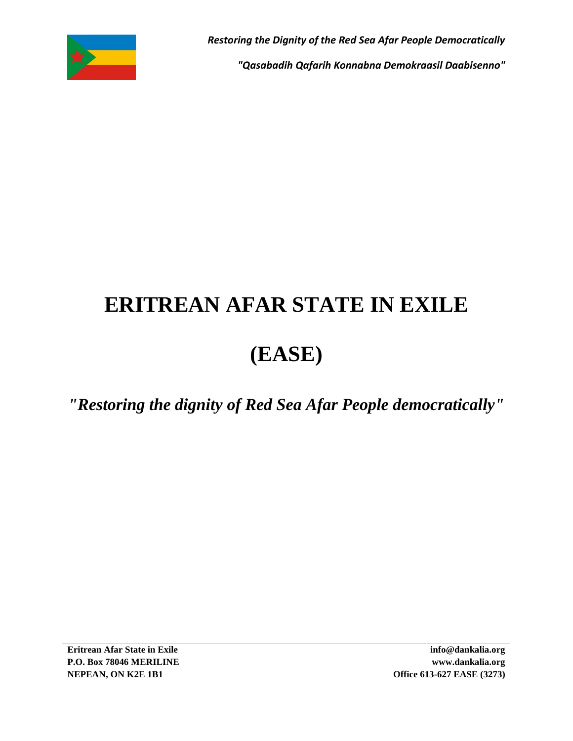

*"Qasabadih Qafarih Konnabna Demokraasil Daabisenno"*

## **ERITREAN AFAR STATE IN EXILE**

## **(EASE)**

*"Restoring the dignity of Red Sea Afar People democratically"*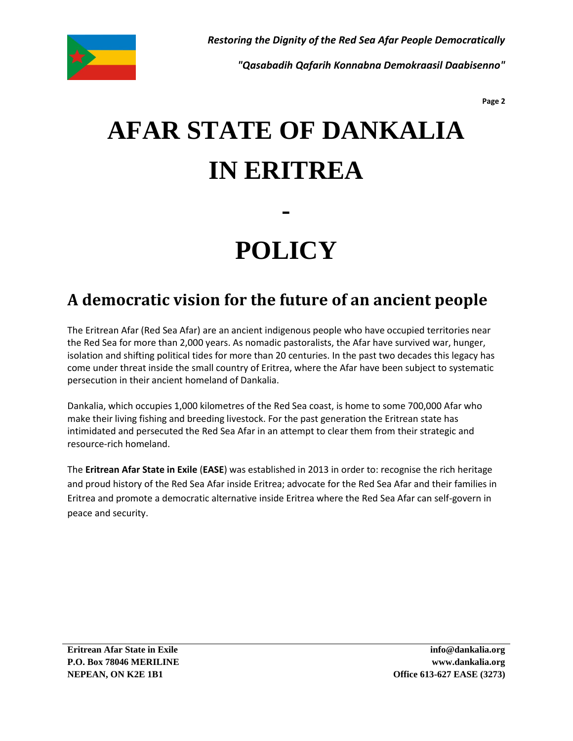

*"Qasabadih Qafarih Konnabna Demokraasil Daabisenno"*

**Page 2**

# **AFAR STATE OF DANKALIA IN ERITREA**

# **POLICY**

**-**

### **A democratic vision for the future of an ancient people**

The Eritrean Afar (Red Sea Afar) are an ancient indigenous people who have occupied territories near the Red Sea for more than 2,000 years. As nomadic pastoralists, the Afar have survived war, hunger, isolation and shifting political tides for more than 20 centuries. In the past two decades this legacy has come under threat inside the small country of Eritrea, where the Afar have been subject to systematic persecution in their ancient homeland of Dankalia.

Dankalia, which occupies 1,000 kilometres of the Red Sea coast, is home to some 700,000 Afar who make their living fishing and breeding livestock. For the past generation the Eritrean state has intimidated and persecuted the Red Sea Afar in an attempt to clear them from their strategic and resource-rich homeland.

The **Eritrean Afar State in Exile** (**EASE**) was established in 2013 in order to: recognise the rich heritage and proud history of the Red Sea Afar inside Eritrea; advocate for the Red Sea Afar and their families in Eritrea and promote a democratic alternative inside Eritrea where the Red Sea Afar can self-govern in peace and security.

**Eritrean Afar State in Exile P.O. Box 78046 MERILINE NEPEAN, ON K2E 1B1**

**info@dankalia.org www.dankalia.org Office 613-627 EASE (3273)**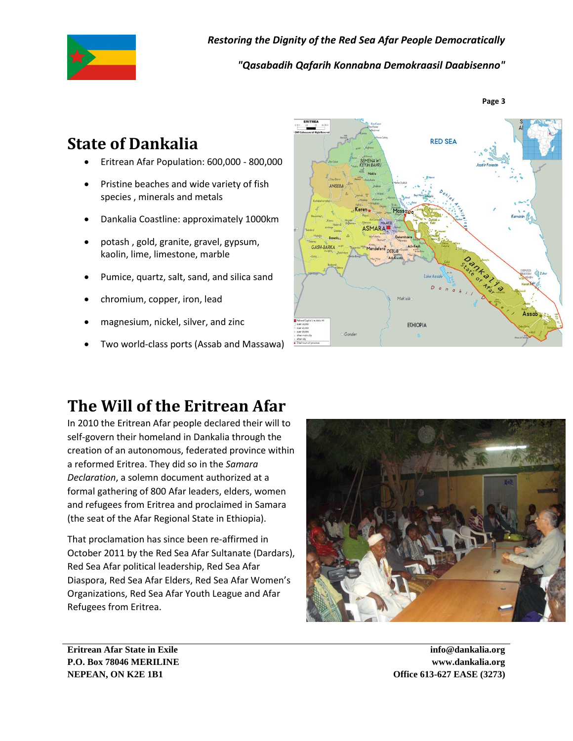

*Restoring the Dignity of the Red Sea Afar People Democratically "Qasabadih Qafarih Konnabna Demokraasil Daabisenno"*

**Page 3**

### **State of Dankalia**

- Eritrean Afar Population: 600,000 800,000
- Pristine beaches and wide variety of fish species , minerals and metals
- Dankalia Coastline: approximately 1000km
- potash , gold, granite, gravel, gypsum, kaolin, lime, limestone, marble
- Pumice, quartz, salt, sand, and silica sand
- chromium, copper, iron, lead
- magnesium, nickel, silver, and zinc
- Two world-class ports (Assab and Massawa)



### **The Will of the Eritrean Afar**

In 2010 the Eritrean Afar people declared their will to self-govern their homeland in Dankalia through the creation of an autonomous, federated province within a reformed Eritrea. They did so in the *Samara Declaration*, a solemn document authorized at a formal gathering of 800 Afar leaders, elders, women and refugees from Eritrea and proclaimed in Samara (the seat of the Afar Regional State in Ethiopia).

That proclamation has since been re-affirmed in October 2011 by the Red Sea Afar Sultanate (Dardars), Red Sea Afar political leadership, Red Sea Afar Diaspora, Red Sea Afar Elders, Red Sea Afar Women's Organizations, Red Sea Afar Youth League and Afar Refugees from Eritrea.



**Eritrean Afar State in Exile P.O. Box 78046 MERILINE NEPEAN, ON K2E 1B1**

**info@dankalia.org www.dankalia.org Office 613-627 EASE (3273)**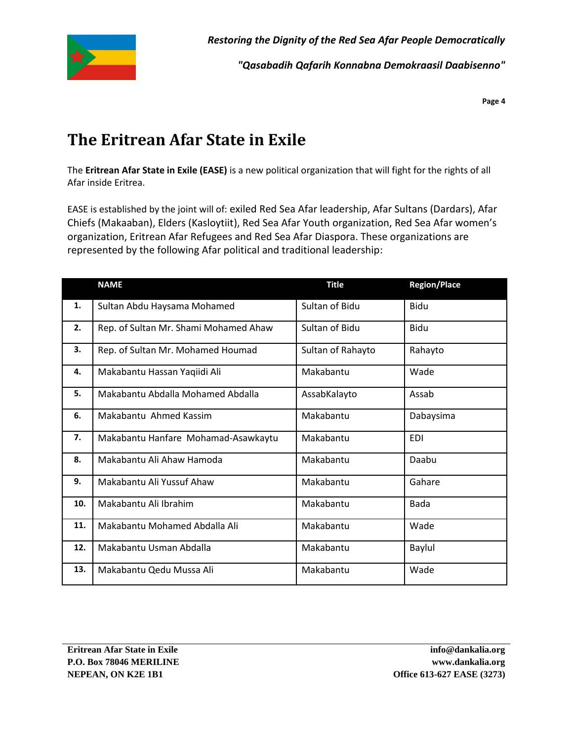

*"Qasabadih Qafarih Konnabna Demokraasil Daabisenno"*

**Page 4**

### **The Eritrean Afar State in Exile**

The **Eritrean Afar State in Exile (EASE)** is a new political organization that will fight for the rights of all Afar inside Eritrea.

EASE is established by the joint will of: exiled Red Sea Afar leadership, Afar Sultans (Dardars), Afar Chiefs (Makaaban), Elders (Kasloytiit), Red Sea Afar Youth organization, Red Sea Afar women's organization, Eritrean Afar Refugees and Red Sea Afar Diaspora. These organizations are represented by the following Afar political and traditional leadership:

|     | <b>NAME</b>                           | <b>Title</b>      | <b>Region/Place</b> |
|-----|---------------------------------------|-------------------|---------------------|
| 1.  | Sultan Abdu Haysama Mohamed           | Sultan of Bidu    | <b>Bidu</b>         |
| 2.  | Rep. of Sultan Mr. Shami Mohamed Ahaw | Sultan of Bidu    | <b>Bidu</b>         |
| 3.  | Rep. of Sultan Mr. Mohamed Houmad     | Sultan of Rahayto | Rahayto             |
| 4.  | Makabantu Hassan Yaqiidi Ali          | Makabantu         | Wade                |
| 5.  | Makabantu Abdalla Mohamed Abdalla     | AssabKalayto      | Assab               |
| 6.  | Makabantu Ahmed Kassim                | Makabantu         | Dabaysima           |
| 7.  | Makabantu Hanfare Mohamad-Asawkaytu   | Makabantu         | <b>EDI</b>          |
| 8.  | Makabantu Ali Ahaw Hamoda             | Makabantu         | Daabu               |
| 9.  | Makabantu Ali Yussuf Ahaw             | Makabantu         | Gahare              |
| 10. | Makabantu Ali Ibrahim                 | Makabantu         | <b>Bada</b>         |
| 11. | Makabantu Mohamed Abdalla Ali         | Makabantu         | Wade                |
| 12. | Makabantu Usman Abdalla               | Makabantu         | Baylul              |
| 13. | Makabantu Qedu Mussa Ali              | Makabantu         | Wade                |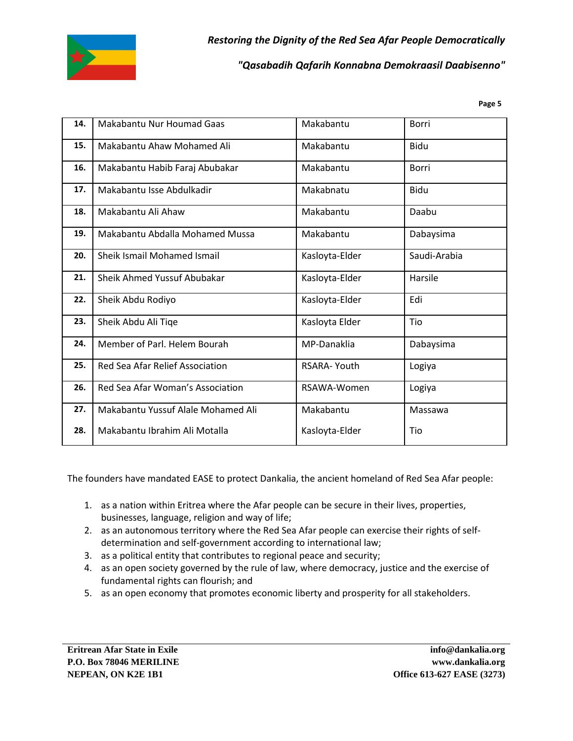

#### *"Qasabadih Qafarih Konnabna Demokraasil Daabisenno"*

**Page 5**

| 14. | Makabantu Nur Houmad Gaas          | Makabantu      | Borri        |
|-----|------------------------------------|----------------|--------------|
| 15. | Makabantu Ahaw Mohamed Ali         | Makabantu      | Bidu         |
| 16. | Makabantu Habib Faraj Abubakar     | Makabantu      | <b>Borri</b> |
| 17. | Makabantu Isse Abdulkadir          | Makabnatu      | Bidu         |
| 18. | Makabantu Ali Ahaw                 | Makabantu      | Daabu        |
| 19. | Makabantu Abdalla Mohamed Mussa    | Makabantu      | Dabaysima    |
| 20. | Sheik Ismail Mohamed Ismail        | Kasloyta-Elder | Saudi-Arabia |
| 21. | Sheik Ahmed Yussuf Abubakar        | Kasloyta-Elder | Harsile      |
| 22. | Sheik Abdu Rodiyo                  | Kasloyta-Elder | Edi          |
| 23. | Sheik Abdu Ali Tiqe                | Kasloyta Elder | Tio          |
| 24. | Member of Parl. Helem Bourah       | MP-Danaklia    | Dabaysima    |
| 25. | Red Sea Afar Relief Association    | RSARA- Youth   | Logiya       |
| 26. | Red Sea Afar Woman's Association   | RSAWA-Women    | Logiya       |
| 27. | Makabantu Yussuf Alale Mohamed Ali | Makabantu      | Massawa      |
| 28. | Makabantu Ibrahim Ali Motalla      | Kasloyta-Elder | Tio          |

The founders have mandated EASE to protect Dankalia, the ancient homeland of Red Sea Afar people:

- 1. as a nation within Eritrea where the Afar people can be secure in their lives, properties, businesses, language, religion and way of life;
- 2. as an autonomous territory where the Red Sea Afar people can exercise their rights of selfdetermination and self-government according to international law;
- 3. as a political entity that contributes to regional peace and security;
- 4. as an open society governed by the rule of law, where democracy, justice and the exercise of fundamental rights can flourish; and
- 5. as an open economy that promotes economic liberty and prosperity for all stakeholders.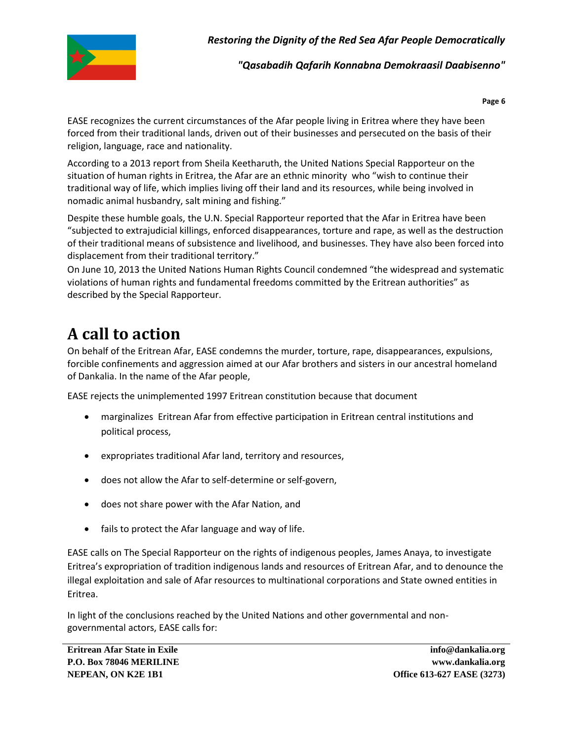

*"Qasabadih Qafarih Konnabna Demokraasil Daabisenno"*

**Page 6**

EASE recognizes the current circumstances of the Afar people living in Eritrea where they have been forced from their traditional lands, driven out of their businesses and persecuted on the basis of their religion, language, race and nationality.

According to a 2013 report from Sheila Keetharuth, the United Nations Special Rapporteur on the situation of human rights in Eritrea, the Afar are an ethnic minority who "wish to continue their traditional way of life, which implies living off their land and its resources, while being involved in nomadic animal husbandry, salt mining and fishing."

Despite these humble goals, the U.N. Special Rapporteur reported that the Afar in Eritrea have been "subjected to extrajudicial killings, enforced disappearances, torture and rape, as well as the destruction of their traditional means of subsistence and livelihood, and businesses. They have also been forced into displacement from their traditional territory."

On June 10, 2013 the United Nations Human Rights Council condemned "the widespread and systematic violations of human rights and fundamental freedoms committed by the Eritrean authorities" as described by the Special Rapporteur.

## **A call to action**

On behalf of the Eritrean Afar, EASE condemns the murder, torture, rape, disappearances, expulsions, forcible confinements and aggression aimed at our Afar brothers and sisters in our ancestral homeland of Dankalia. In the name of the Afar people,

EASE rejects the unimplemented 1997 Eritrean constitution because that document

- marginalizes Eritrean Afar from effective participation in Eritrean central institutions and political process,
- expropriates traditional Afar land, territory and resources,
- does not allow the Afar to self-determine or self-govern,
- does not share power with the Afar Nation, and
- fails to protect the Afar language and way of life.

EASE calls on The Special Rapporteur on the rights of indigenous peoples, James Anaya, to investigate Eritrea's expropriation of tradition indigenous lands and resources of Eritrean Afar, and to denounce the illegal exploitation and sale of Afar resources to multinational corporations and State owned entities in Eritrea.

In light of the conclusions reached by the United Nations and other governmental and nongovernmental actors, EASE calls for: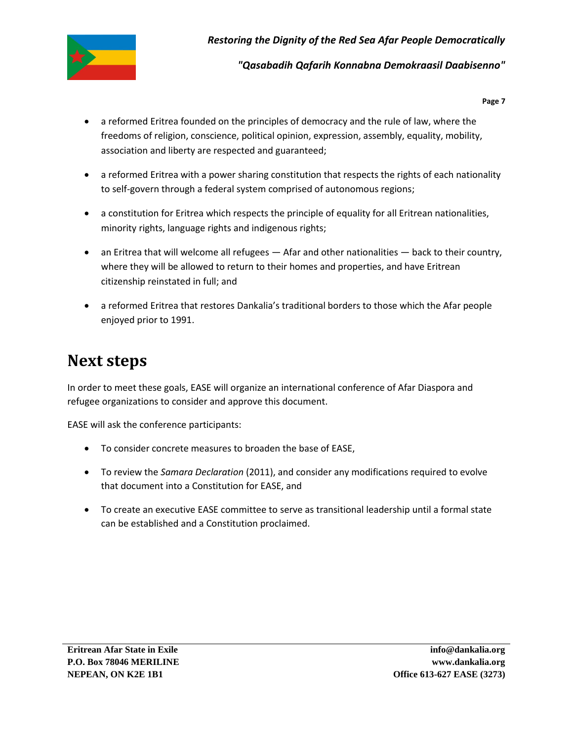

#### *"Qasabadih Qafarih Konnabna Demokraasil Daabisenno"*

**Page 7**

- a reformed Eritrea founded on the principles of democracy and the rule of law, where the freedoms of religion, conscience, political opinion, expression, assembly, equality, mobility, association and liberty are respected and guaranteed;
- a reformed Eritrea with a power sharing constitution that respects the rights of each nationality to self-govern through a federal system comprised of autonomous regions;
- a constitution for Eritrea which respects the principle of equality for all Eritrean nationalities, minority rights, language rights and indigenous rights;
- an Eritrea that will welcome all refugees Afar and other nationalities back to their country, where they will be allowed to return to their homes and properties, and have Eritrean citizenship reinstated in full; and
- a reformed Eritrea that restores Dankalia's traditional borders to those which the Afar people enjoyed prior to 1991.

#### **Next steps**

In order to meet these goals, EASE will organize an international conference of Afar Diaspora and refugee organizations to consider and approve this document.

EASE will ask the conference participants:

- To consider concrete measures to broaden the base of EASE,
- To review the *Samara Declaration* (2011), and consider any modifications required to evolve that document into a Constitution for EASE, and
- To create an executive EASE committee to serve as transitional leadership until a formal state can be established and a Constitution proclaimed.